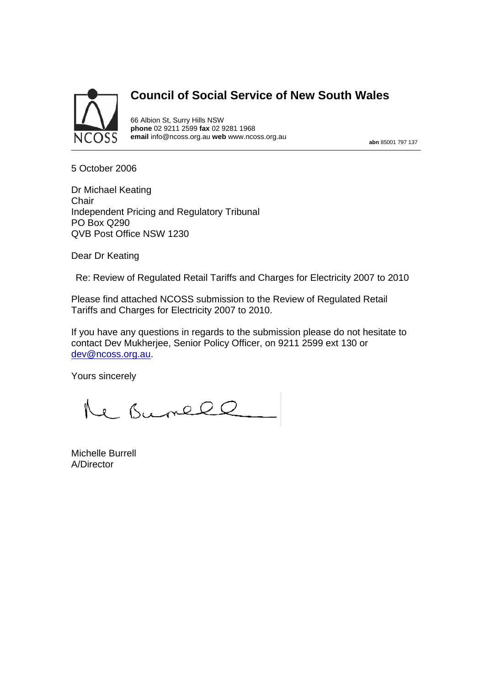

# **Council of Social Service of New South Wales**

66 Albion St, Surry Hills NSW **phone** 02 9211 2599 **fax** 02 9281 1968 **email** info@ncoss.org.au **web** www.ncoss.org.au **abn** 85001 797 137

5 October 2006

Dr Michael Keating **Chair** Independent Pricing and Regulatory Tribunal PO Box Q290 QVB Post Office NSW 1230

Dear Dr Keating

Re: Review of Regulated Retail Tariffs and Charges for Electricity 2007 to 2010

Please find attached NCOSS submission to the Review of Regulated Retail Tariffs and Charges for Electricity 2007 to 2010.

If you have any questions in regards to the submission please do not hesitate to contact Dev Mukherjee, Senior Policy Officer, on 9211 2599 ext 130 or dev@ncoss.org.au.

Yours sincerely

Re Bunell

Michelle Burrell A/Director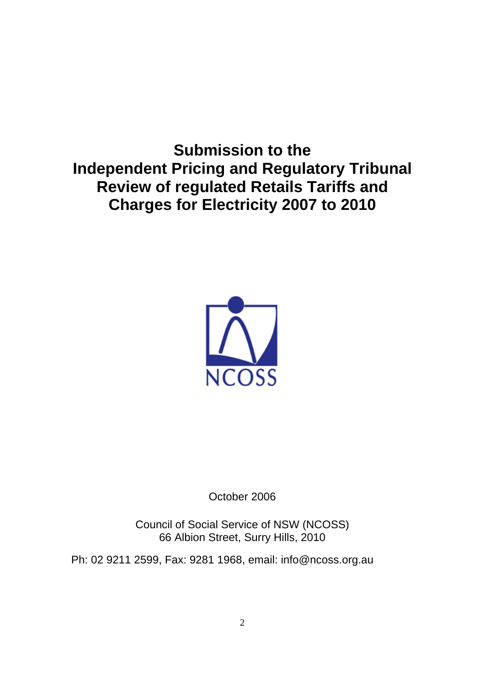**Submission to the Independent Pricing and Regulatory Tribunal Review of regulated Retails Tariffs and Charges for Electricity 2007 to 2010** 



October 2006

Council of Social Service of NSW (NCOSS) 66 Albion Street, Surry Hills, 2010

Ph: 02 9211 2599, Fax: 9281 1968, email: info@ncoss.org.au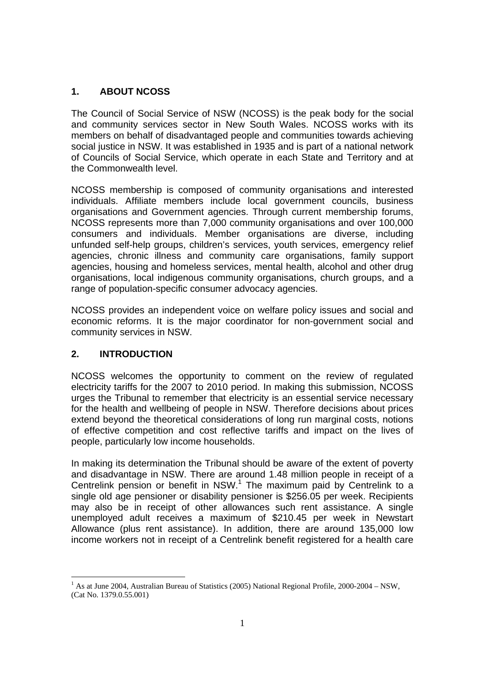## **1. ABOUT NCOSS**

The Council of Social Service of NSW (NCOSS) is the peak body for the social and community services sector in New South Wales. NCOSS works with its members on behalf of disadvantaged people and communities towards achieving social justice in NSW. It was established in 1935 and is part of a national network of Councils of Social Service, which operate in each State and Territory and at the Commonwealth level.

NCOSS membership is composed of community organisations and interested individuals. Affiliate members include local government councils, business organisations and Government agencies. Through current membership forums, NCOSS represents more than 7,000 community organisations and over 100,000 consumers and individuals. Member organisations are diverse, including unfunded self-help groups, children's services, youth services, emergency relief agencies, chronic illness and community care organisations, family support agencies, housing and homeless services, mental health, alcohol and other drug organisations, local indigenous community organisations, church groups, and a range of population-specific consumer advocacy agencies.

NCOSS provides an independent voice on welfare policy issues and social and economic reforms. It is the major coordinator for non-government social and community services in NSW.

### **2. INTRODUCTION**

NCOSS welcomes the opportunity to comment on the review of regulated electricity tariffs for the 2007 to 2010 period. In making this submission, NCOSS urges the Tribunal to remember that electricity is an essential service necessary for the health and wellbeing of people in NSW. Therefore decisions about prices extend beyond the theoretical considerations of long run marginal costs, notions of effective competition and cost reflective tariffs and impact on the lives of people, particularly low income households.

In making its determination the Tribunal should be aware of the extent of poverty and disadvantage in NSW. There are around 1.48 million people in receipt of a Centrelink pension or benefit in NSW. $<sup>1</sup>$  The maximum paid by Centrelink to a</sup> single old age pensioner or disability pensioner is \$256.05 per week. Recipients may also be in receipt of other allowances such rent assistance. A single unemployed adult receives a maximum of \$210.45 per week in Newstart Allowance (plus rent assistance). In addition, there are around 135,000 low income workers not in receipt of a Centrelink benefit registered for a health care

<sup>&</sup>lt;sup>1</sup> As at June 2004, Australian Bureau of Statistics (2005) National Regional Profile, 2000-2004 – NSW, (Cat No. 1379.0.55.001)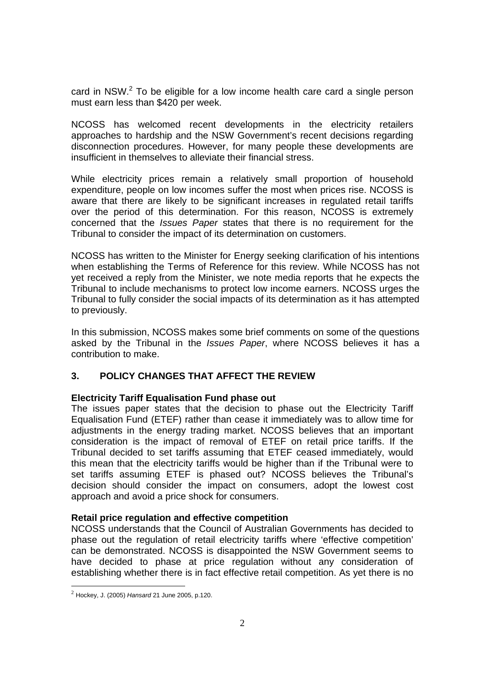card in NSW. $<sup>2</sup>$  To be eligible for a low income health care card a single person</sup> must earn less than \$420 per week.

NCOSS has welcomed recent developments in the electricity retailers approaches to hardship and the NSW Government's recent decisions regarding disconnection procedures. However, for many people these developments are insufficient in themselves to alleviate their financial stress.

While electricity prices remain a relatively small proportion of household expenditure, people on low incomes suffer the most when prices rise. NCOSS is aware that there are likely to be significant increases in regulated retail tariffs over the period of this determination. For this reason, NCOSS is extremely concerned that the *Issues Paper* states that there is no requirement for the Tribunal to consider the impact of its determination on customers.

NCOSS has written to the Minister for Energy seeking clarification of his intentions when establishing the Terms of Reference for this review. While NCOSS has not yet received a reply from the Minister, we note media reports that he expects the Tribunal to include mechanisms to protect low income earners. NCOSS urges the Tribunal to fully consider the social impacts of its determination as it has attempted to previously.

In this submission, NCOSS makes some brief comments on some of the questions asked by the Tribunal in the *Issues Paper*, where NCOSS believes it has a contribution to make.

## **3. POLICY CHANGES THAT AFFECT THE REVIEW**

### **Electricity Tariff Equalisation Fund phase out**

The issues paper states that the decision to phase out the Electricity Tariff Equalisation Fund (ETEF) rather than cease it immediately was to allow time for adjustments in the energy trading market. NCOSS believes that an important consideration is the impact of removal of ETEF on retail price tariffs. If the Tribunal decided to set tariffs assuming that ETEF ceased immediately, would this mean that the electricity tariffs would be higher than if the Tribunal were to set tariffs assuming ETEF is phased out? NCOSS believes the Tribunal's decision should consider the impact on consumers, adopt the lowest cost approach and avoid a price shock for consumers.

### **Retail price regulation and effective competition**

NCOSS understands that the Council of Australian Governments has decided to phase out the regulation of retail electricity tariffs where 'effective competition' can be demonstrated. NCOSS is disappointed the NSW Government seems to have decided to phase at price regulation without any consideration of establishing whether there is in fact effective retail competition. As yet there is no

 $\overline{a}$ 

<sup>2</sup> Hockey, J. (2005) *Hansard* 21 June 2005, p.120.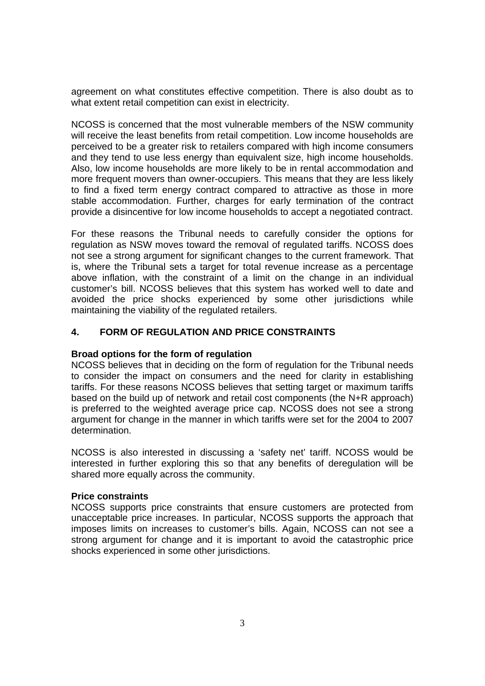agreement on what constitutes effective competition. There is also doubt as to what extent retail competition can exist in electricity.

NCOSS is concerned that the most vulnerable members of the NSW community will receive the least benefits from retail competition. Low income households are perceived to be a greater risk to retailers compared with high income consumers and they tend to use less energy than equivalent size, high income households. Also, low income households are more likely to be in rental accommodation and more frequent movers than owner-occupiers. This means that they are less likely to find a fixed term energy contract compared to attractive as those in more stable accommodation. Further, charges for early termination of the contract provide a disincentive for low income households to accept a negotiated contract.

For these reasons the Tribunal needs to carefully consider the options for regulation as NSW moves toward the removal of regulated tariffs. NCOSS does not see a strong argument for significant changes to the current framework. That is, where the Tribunal sets a target for total revenue increase as a percentage above inflation, with the constraint of a limit on the change in an individual customer's bill. NCOSS believes that this system has worked well to date and avoided the price shocks experienced by some other jurisdictions while maintaining the viability of the regulated retailers.

### **4. FORM OF REGULATION AND PRICE CONSTRAINTS**

### **Broad options for the form of regulation**

NCOSS believes that in deciding on the form of regulation for the Tribunal needs to consider the impact on consumers and the need for clarity in establishing tariffs. For these reasons NCOSS believes that setting target or maximum tariffs based on the build up of network and retail cost components (the N+R approach) is preferred to the weighted average price cap. NCOSS does not see a strong argument for change in the manner in which tariffs were set for the 2004 to 2007 determination.

NCOSS is also interested in discussing a 'safety net' tariff. NCOSS would be interested in further exploring this so that any benefits of deregulation will be shared more equally across the community.

#### **Price constraints**

NCOSS supports price constraints that ensure customers are protected from unacceptable price increases. In particular, NCOSS supports the approach that imposes limits on increases to customer's bills. Again, NCOSS can not see a strong argument for change and it is important to avoid the catastrophic price shocks experienced in some other jurisdictions.